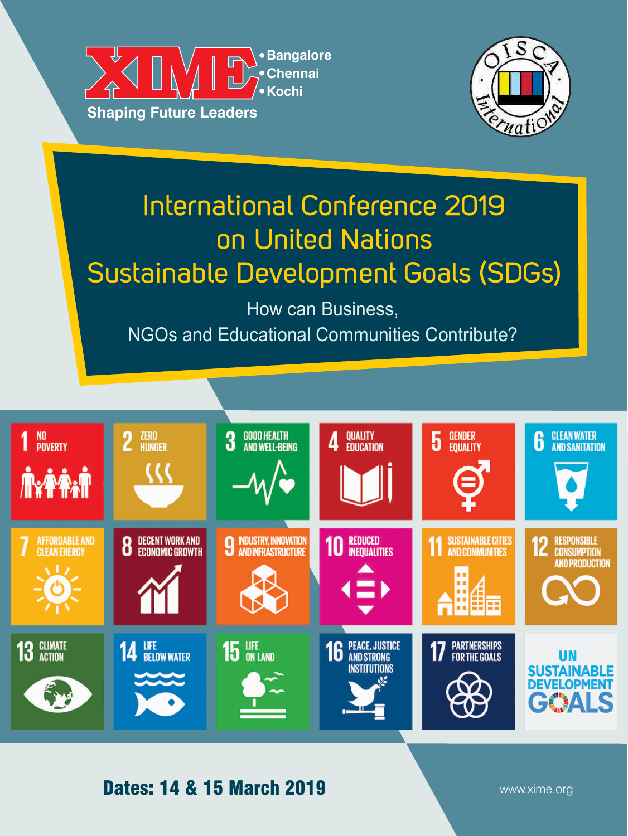



# International Conference 2019 on United Nations Sustainable Development Goals (SDGs)

How can Business, NGOs and Educational Communities Contribute?



# Dates: 14 & 15 March 2019

www.xime.org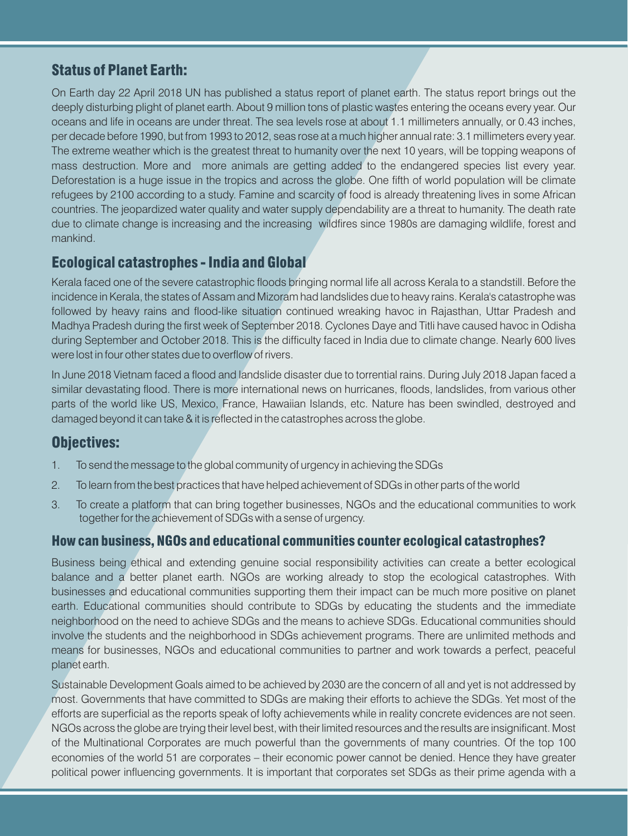# Status of Planet Earth:

On Earth day 22 April 2018 UN has published a status report of planet earth. The status report brings out the deeply disturbing plight of planet earth. About 9 million tons of plastic wastes entering the oceans every year. Our oceans and life in oceans are under threat. The sea levels rose at about 1.1 millimeters annually, or 0.43 inches, per decade before 1990, but from 1993 to 2012, seas rose at a much higher annual rate: 3.1 millimeters every year. The extreme weather which is the greatest threat to humanity over the next 10 years, will be topping weapons of mass destruction. More and more animals are getting added to the endangered species list every year. Deforestation is a huge issue in the tropics and across the globe. One fifth of world population will be climate refugees by 2100 according to a study. Famine and scarcity of food is already threatening lives in some African countries. The jeopardized water quality and water supply dependability are a threat to humanity. The death rate due to climate change is increasing and the increasing wildfires since 1980s are damaging wildlife, forest and mankind.

#### Ecological catastrophes - India and Global

Kerala faced one of the severe catastrophic floods bringing normal life all across Kerala to a standstill. Before the incidence in Kerala, the states of Assam and Mizoram had landslides due to heavy rains. Kerala's catastrophe was followed by heavy rains and flood-like situation continued wreaking havoc in Rajasthan, Uttar Pradesh and Madhya Pradesh during the first week of September 2018. Cyclones Daye and Titli have caused havoc in Odisha during September and October 2018. This is the difficulty faced in India due to climate change. Nearly 600 lives were lost in four other states due to overflow of rivers.

In June 2018 Vietnam faced a flood and landslide disaster due to torrential rains. During July 2018 Japan faced a similar devastating flood. There is more international news on hurricanes, floods, landslides, from various other parts of the world like US, Mexico, France, Hawaiian Islands, etc. Nature has been swindled, destroyed and damaged beyond it can take & it is reflected in the catastrophes across the globe.

# Objectives:

- 1. To send the message to the global community of urgency in achieving the SDGs
- 2. To learn from the best practices that have helped achievement of SDGs in other parts of the world
- 3. To create a platform that can bring together businesses, NGOs and the educational communities to work together for the achievement of SDGs with a sense of urgency.

#### How can business, NGOs and educational communities counter ecological catastrophes?

Business being ethical and extending genuine social responsibility activities can create a better ecological balance and a better planet earth. NGOs are working already to stop the ecological catastrophes. With businesses and educational communities supporting them their impact can be much more positive on planet earth. Educational communities should contribute to SDGs by educating the students and the immediate neighborhood on the need to achieve SDGs and the means to achieve SDGs. Educational communities should involve the students and the neighborhood in SDGs achievement programs. There are unlimited methods and means for businesses, NGOs and educational communities to partner and work towards a perfect, peaceful planet earth.

Sustainable Development Goals aimed to be achieved by 2030 are the concern of all and yet is not addressed by most. Governments that have committed to SDGs are making their efforts to achieve the SDGs. Yet most of the efforts are superficial as the reports speak of lofty achievements while in reality concrete evidences are not seen. NGOs across the globe are trying their level best, with their limited resources and the results are insignificant. Most of the Multinational Corporates are much powerful than the governments of many countries. Of the top 100 economies of the world 51 are corporates – their economic power cannot be denied. Hence they have greater political power influencing governments. It is important that corporates set SDGs as their prime agenda with a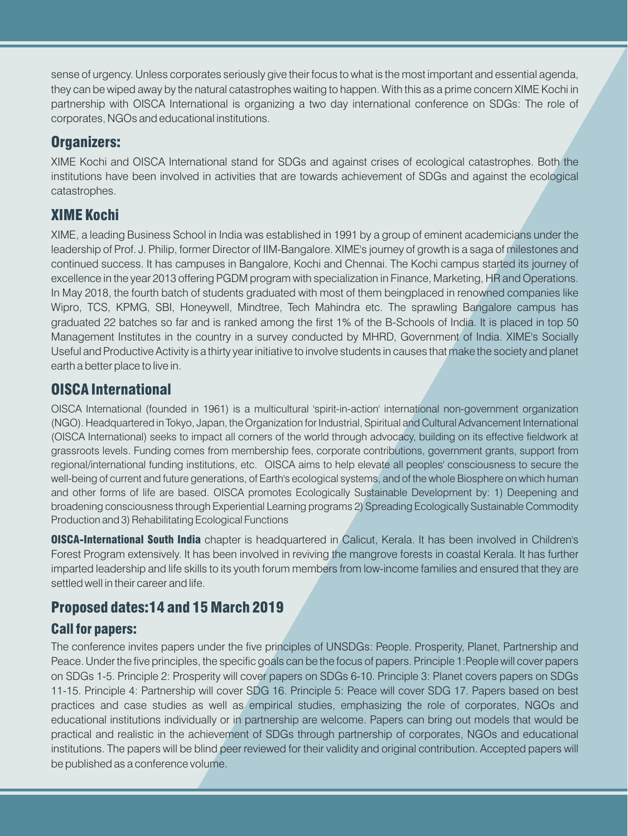sense of urgency. Unless corporates seriously give their focus to what is the most important and essential agenda, they can be wiped away by the natural catastrophes waiting to happen. With this as a prime concern XIME Kochi in partnership with OISCA International is organizing a two day international conference on SDGs: The role of corporates, NGOs and educational institutions.

#### Organizers:

XIME Kochi and OISCA International stand for SDGs and against crises of ecological catastrophes. Both the institutions have been involved in activities that are towards achievement of SDGs and against the ecological catastrophes.

# XIME Kochi

XIME, a leading Business School in India was established in 1991 by a group of eminent academicians under the leadership of Prof. J. Philip, former Director of IIM-Bangalore. XIME's journey of growth is a saga of milestones and continued success. It has campuses in Bangalore, Kochi and Chennai. The Kochi campus started its journey of excellence in the year 2013 offering PGDM program with specialization in Finance, Marketing, HR and Operations. In May 2018, the fourth batch of students graduated with most of them beingplaced in renowned companies like Wipro, TCS, KPMG, SBI, Honeywell, Mindtree, Tech Mahindra etc. The sprawling Bangalore campus has graduated 22 batches so far and is ranked among the first 1% of the B-Schools of India. It is placed in top 50 Management Institutes in the country in a survey conducted by MHRD, Government of India. XIME's Socially Useful and Productive Activity is a thirty year initiative to involve students in causes that make the society and planet earth a better place to live in.

#### OISCA International

OISCA International (founded in 1961) is a multicultural 'spirit-in-action' international non-government organization (NGO). Headquartered in Tokyo, Japan, the Organization for Industrial, Spiritual and Cultural Advancement International (OISCA International) seeks to impact all corners of the world through advocacy, building on its effective fieldwork at grassroots levels. Funding comes from membership fees, corporate contributions, government grants, support from regional/international funding institutions, etc. OISCA aims to help elevate all peoples' consciousness to secure the well-being of current and future generations, of Earth's ecological systems, and of the whole Biosphere on which human and other forms of life are based. OISCA promotes Ecologically Sustainable Development by: 1) Deepening and broadening consciousness through Experiential Learning programs 2) Spreading Ecologically Sustainable Commodity Production and 3) Rehabilitating Ecological Functions

0ISCA-International South India chapter is headquartered in Calicut, Kerala. It has been involved in Children's Forest Program extensively. It has been involved in reviving the mangrove forests in coastal Kerala. It has further imparted leadership and life skills to its youth forum members from low-income families and ensured that they are settled well in their career and life.

# Proposed dates:14 and 15 March 2019

#### Call for papers:

The conference invites papers under the five principles of UNSDGs: People. Prosperity, Planet, Partnership and Peace. Under the five principles, the specific goals can be the focus of papers. Principle 1:People will cover papers on SDGs 1-5. Principle 2: Prosperity will cover papers on SDGs 6-10. Principle 3: Planet covers papers on SDGs 11-15. Principle 4: Partnership will cover SDG 16. Principle 5: Peace will cover SDG 17. Papers based on best practices and case studies as well as empirical studies, emphasizing the role of corporates, NGOs and educational institutions individually or in partnership are welcome. Papers can bring out models that would be practical and realistic in the achievement of SDGs through partnership of corporates, NGOs and educational institutions. The papers will be blind peer reviewed for their validity and original contribution. Accepted papers will be published as a conference volume.